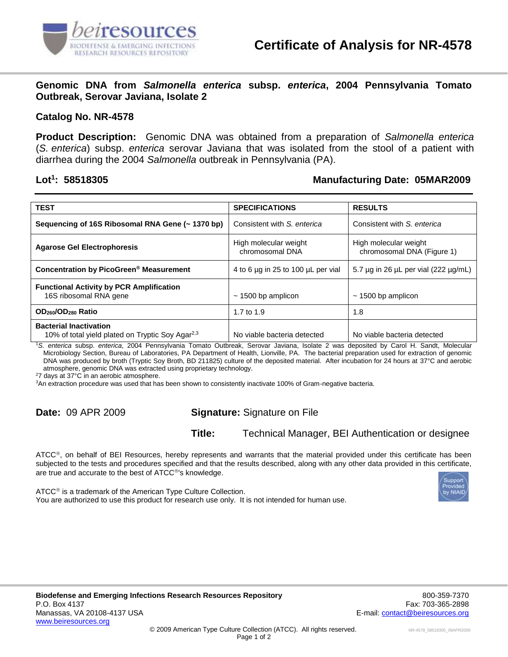

**Genomic DNA from** *Salmonella enterica* **subsp.** *enterica***, 2004 Pennsylvania Tomato Outbreak, Serovar Javiana, Isolate 2**

#### **Catalog No. NR-4578**

**Product Description:** Genomic DNA was obtained from a preparation of *Salmonella enterica* (*S. enterica*) subsp. *enterica* serovar Javiana that was isolated from the stool of a patient with diarrhea during the 2004 *Salmonella* outbreak in Pennsylvania (PA).

## Lot<sup>1</sup>: 58518305

# **: 58518305 Manufacturing Date: 05MAR2009**

| <b>TEST</b>                                                                                   | <b>SPECIFICATIONS</b>                    | <b>RESULTS</b>                                      |
|-----------------------------------------------------------------------------------------------|------------------------------------------|-----------------------------------------------------|
| Sequencing of 16S Ribosomal RNA Gene (~ 1370 bp)                                              | Consistent with S. enterica              | Consistent with S. enterica                         |
| <b>Agarose Gel Electrophoresis</b>                                                            | High molecular weight<br>chromosomal DNA | High molecular weight<br>chromosomal DNA (Figure 1) |
| Concentration by PicoGreen <sup>®</sup> Measurement                                           | 4 to 6 µg in 25 to 100 µL per vial       | 5.7 $\mu$ g in 26 $\mu$ L per vial (222 $\mu$ g/mL) |
| <b>Functional Activity by PCR Amplification</b><br>16S ribosomal RNA gene                     | $\sim$ 1500 bp amplicon                  | $\sim$ 1500 bp amplicon                             |
| OD <sub>260</sub> /OD <sub>280</sub> Ratio                                                    | 1.7 to 1.9                               | 1.8                                                 |
| <b>Bacterial Inactivation</b><br>10% of total yield plated on Tryptic Soy Agar <sup>2,3</sup> | No viable bacteria detected              | No viable bacteria detected                         |

<sup>1</sup>*S. enterica* subsp. *enterica*, 2004 Pennsylvania Tomato Outbreak, Serovar Javiana, Isolate 2 was deposited by Carol H. Sandt, Molecular Microbiology Section, Bureau of Laboratories, PA Department of Health, Lionville, PA. The bacterial preparation used for extraction of genomic DNA was produced by broth (Tryptic Soy Broth, BD 211825) culture of the deposited material. After incubation for 24 hours at 37°C and aerobic atmosphere, genomic DNA was extracted using proprietary technology.

 $27$  days at 37 $^{\circ}$ C in an aerobic atmosphere.

<sup>3</sup>An extraction procedure was used that has been shown to consistently inactivate 100% of Gram-negative bacteria.

## **Date:** 09 APR 2009 **Signature:** Signature on File

**Title:** Technical Manager, BEI Authentication or designee

 $\tt ATCC<sup>®</sup>$ , on behalf of BEI Resources, hereby represents and warrants that the material provided under this certificate has been subjected to the tests and procedures specified and that the results described, along with any other data provided in this certificate, are true and accurate to the best of  $ATCC<sup>®</sup>$ 's knowledge.

ATCC<sup>®</sup> is a trademark of the American Type Culture Collection. You are authorized to use this product for research use only. It is not intended for human use.